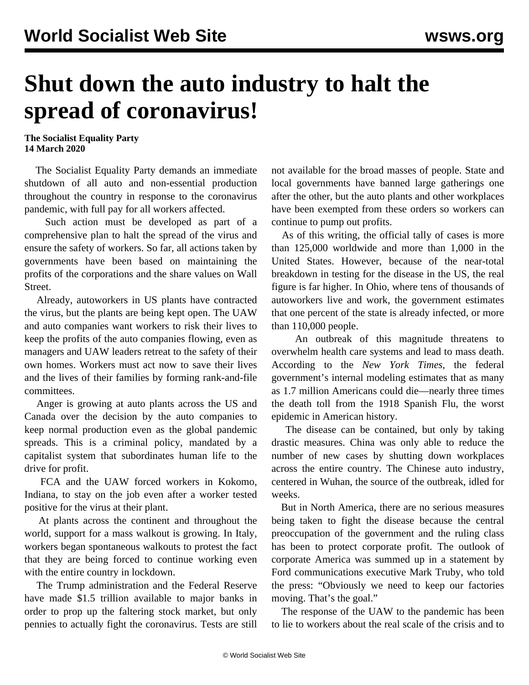## **Shut down the auto industry to halt the spread of coronavirus!**

**The Socialist Equality Party 14 March 2020**

 The Socialist Equality Party demands an immediate shutdown of all auto and non-essential production throughout the country in response to the coronavirus pandemic, with full pay for all workers affected.

 Such action must be developed as part of a comprehensive plan to halt the spread of the virus and ensure the safety of workers. So far, all actions taken by governments have been based on maintaining the profits of the corporations and the share values on Wall Street.

 Already, autoworkers in US plants have contracted the virus, but the plants are being kept open. The UAW and auto companies want workers to risk their lives to keep the profits of the auto companies flowing, even as managers and UAW leaders retreat to the safety of their own homes. Workers must act now to save their lives and the lives of their families by forming rank-and-file committees.

 Anger is growing at auto plants across the US and Canada over the decision by the auto companies to keep normal production even as the global pandemic spreads. This is a criminal policy, mandated by a capitalist system that subordinates human life to the drive for profit.

 FCA and the UAW forced workers in Kokomo, Indiana, to stay on the job even after a worker tested positive for the virus at their plant.

 At plants across the continent and throughout the world, support for a mass walkout is growing. In Italy, workers began spontaneous walkouts to protest the fact that they are being forced to continue working even with the entire country in lockdown.

 The Trump administration and the Federal Reserve have made \$1.5 trillion available to major banks in order to prop up the faltering stock market, but only pennies to actually fight the coronavirus. Tests are still not available for the broad masses of people. State and local governments have banned large gatherings one after the other, but the auto plants and other workplaces have been exempted from these orders so workers can continue to pump out profits.

 As of this writing, the official tally of cases is more than 125,000 worldwide and more than 1,000 in the United States. However, because of the near-total breakdown in testing for the disease in the US, the real figure is far higher. In Ohio, where tens of thousands of autoworkers live and work, the government estimates that one percent of the state is already infected, or more than 110,000 people.

 An outbreak of this magnitude threatens to overwhelm health care systems and lead to mass death. According to the *New York Times,* the federal government's internal modeling estimates that as many as 1.7 million Americans could die—nearly three times the death toll from the 1918 Spanish Flu, the worst epidemic in American history.

 The disease can be contained, but only by taking drastic measures. China was only able to reduce the number of new cases by shutting down workplaces across the entire country. The Chinese auto industry, centered in Wuhan, the source of the outbreak, idled for weeks.

 But in North America, there are no serious measures being taken to fight the disease because the central preoccupation of the government and the ruling class has been to protect corporate profit. The outlook of corporate America was summed up in a statement by Ford communications executive Mark Truby, who told the press: "Obviously we need to keep our factories moving. That's the goal."

 The response of the UAW to the pandemic has been to lie to workers about the real scale of the crisis and to